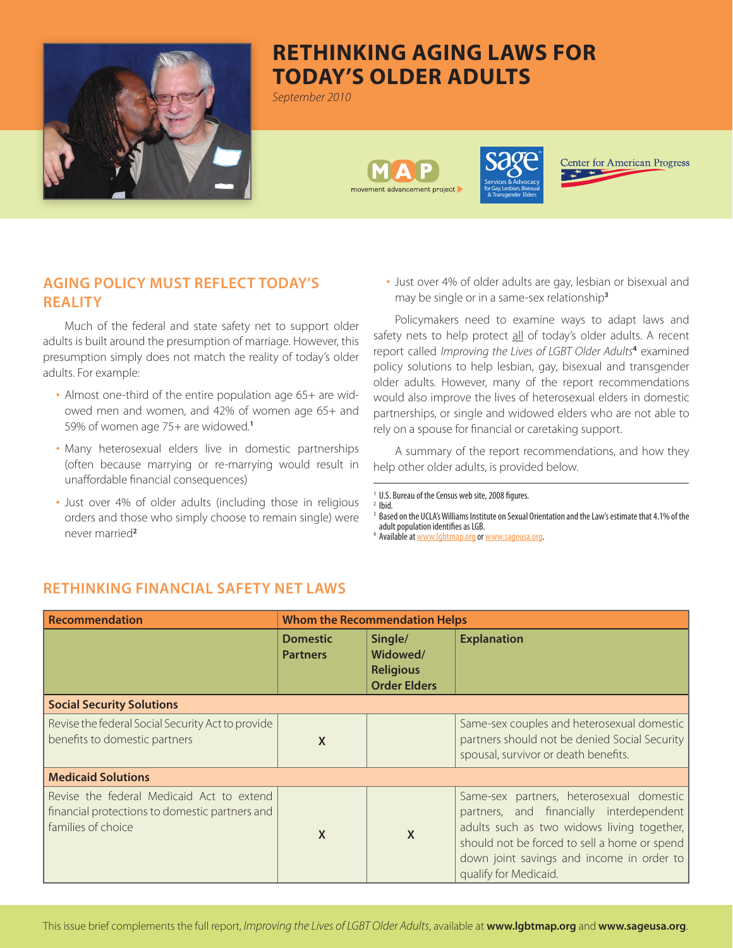

# **Rethinking Aging Laws for Today's Older Adults**

*September 2010*





**Center for American Progress** 

# **AGING POLICY MUST REFLECT TODAY'S REALITY**

Much of the federal and state safety net to support older adults is built around the presumption of marriage. However, this presumption simply does not match the reality of today's older adults. For example:

- Almost one-third of the entire population age 65+ are widowed men and women, and 42% of women age 65+ and 59% of women age 75+ are widowed.**<sup>1</sup>**
- Many heterosexual elders live in domestic partnerships (often because marrying or re-marrying would result in unaffordable financial consequences)
- Just over 4% of older adults (including those in religious orders and those who simply choose to remain single) were never married**<sup>2</sup>**

• Just over 4% of older adults are gay, lesbian or bisexual and may be single or in a same-sex relationship**<sup>3</sup>**

Policymakers need to examine ways to adapt laws and safety nets to help protect all of today's older adults. A recent report called *Improving the Lives of LGBT Older Adults***<sup>4</sup>** examined policy solutions to help lesbian, gay, bisexual and transgender older adults. However, many of the report recommendations would also improve the lives of heterosexual elders in domestic partnerships, or single and widowed elders who are not able to rely on a spouse for financial or caretaking support.

A summary of the report recommendations, and how they help other older adults, is provided below.

<sup>4</sup> Available at www.lgbtmap.org or www.sageusa.org.

| Recommendation                                                                                                    | <b>Whom the Recommendation Helps</b> |                                                                |                                                                                                                                                                                                                                                          |  |
|-------------------------------------------------------------------------------------------------------------------|--------------------------------------|----------------------------------------------------------------|----------------------------------------------------------------------------------------------------------------------------------------------------------------------------------------------------------------------------------------------------------|--|
|                                                                                                                   | <b>Domestic</b><br><b>Partners</b>   | Single/<br>Widowed/<br><b>Religious</b><br><b>Order Elders</b> | <b>Explanation</b>                                                                                                                                                                                                                                       |  |
| <b>Social Security Solutions</b>                                                                                  |                                      |                                                                |                                                                                                                                                                                                                                                          |  |
| Revise the federal Social Security Act to provide<br>benefits to domestic partners                                | X                                    |                                                                | Same-sex couples and heterosexual domestic<br>partners should not be denied Social Security<br>spousal, survivor or death benefits.                                                                                                                      |  |
| <b>Medicaid Solutions</b>                                                                                         |                                      |                                                                |                                                                                                                                                                                                                                                          |  |
| Revise the federal Medicaid Act to extend<br>financial protections to domestic partners and<br>families of choice | X                                    | X                                                              | Same-sex partners, heterosexual domestic<br>partners, and financially interdependent<br>adults such as two widows living together,<br>should not be forced to sell a home or spend<br>down joint savings and income in order to<br>qualify for Medicaid. |  |

### **RETHINKING FINANCIAL SAFETY NET LAWS**

<sup>&</sup>lt;sup>1</sup> U.S. Bureau of the Census web site, 2008 figures.  $2$  Ibid.

<sup>&</sup>lt;sup>3</sup> Based on the UCLA's Williams Institute on Sexual Orientation and the Law's estimate that 4.1% of the adult population identifies as LGB.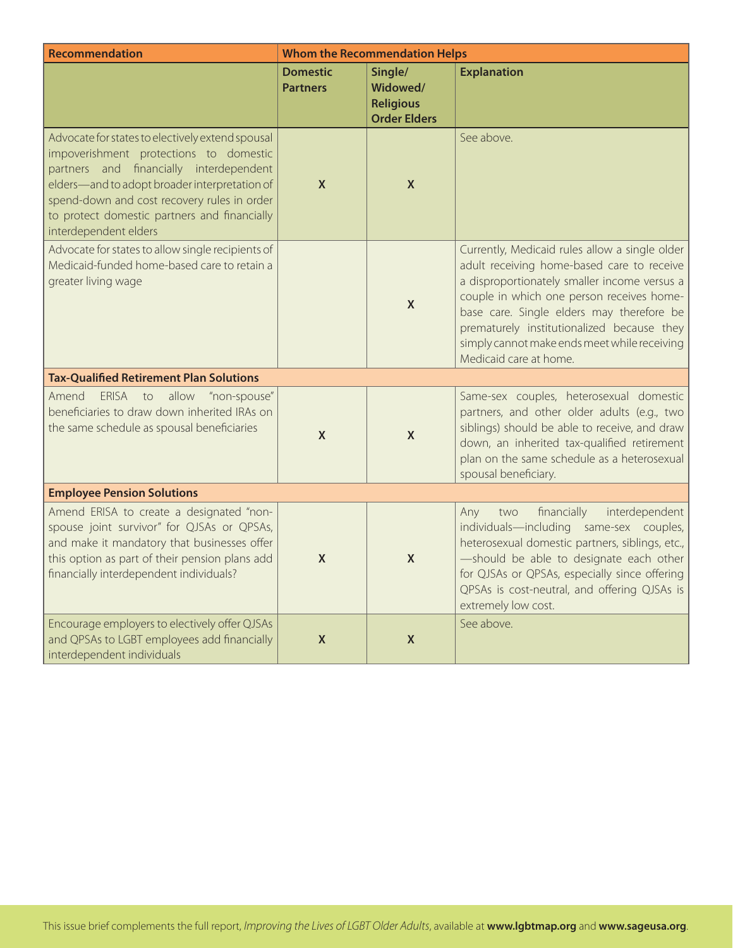| <b>Recommendation</b>                                                                                                                                                                                                                                                                                          | <b>Whom the Recommendation Helps</b> |                                                                |                                                                                                                                                                                                                                                                                                                                                                |  |
|----------------------------------------------------------------------------------------------------------------------------------------------------------------------------------------------------------------------------------------------------------------------------------------------------------------|--------------------------------------|----------------------------------------------------------------|----------------------------------------------------------------------------------------------------------------------------------------------------------------------------------------------------------------------------------------------------------------------------------------------------------------------------------------------------------------|--|
|                                                                                                                                                                                                                                                                                                                | <b>Domestic</b><br><b>Partners</b>   | Single/<br>Widowed/<br><b>Religious</b><br><b>Order Elders</b> | <b>Explanation</b>                                                                                                                                                                                                                                                                                                                                             |  |
| Advocate for states to electively extend spousal<br>impoverishment protections to domestic<br>partners and financially interdependent<br>elders-and to adopt broader interpretation of<br>spend-down and cost recovery rules in order<br>to protect domestic partners and financially<br>interdependent elders | $\mathsf{X}$                         | X                                                              | See above.                                                                                                                                                                                                                                                                                                                                                     |  |
| Advocate for states to allow single recipients of<br>Medicaid-funded home-based care to retain a<br>greater living wage                                                                                                                                                                                        |                                      | $\mathsf{X}$                                                   | Currently, Medicaid rules allow a single older<br>adult receiving home-based care to receive<br>a disproportionately smaller income versus a<br>couple in which one person receives home-<br>base care. Single elders may therefore be<br>prematurely institutionalized because they<br>simply cannot make ends meet while receiving<br>Medicaid care at home. |  |
| <b>Tax-Qualified Retirement Plan Solutions</b>                                                                                                                                                                                                                                                                 |                                      |                                                                |                                                                                                                                                                                                                                                                                                                                                                |  |
| Amend<br><b>ERISA</b><br>allow<br>"non-spouse"<br>to<br>beneficiaries to draw down inherited IRAs on<br>the same schedule as spousal beneficiaries                                                                                                                                                             | $\boldsymbol{X}$                     | $\boldsymbol{X}$                                               | Same-sex couples, heterosexual domestic<br>partners, and other older adults (e.g., two<br>siblings) should be able to receive, and draw<br>down, an inherited tax-qualified retirement<br>plan on the same schedule as a heterosexual<br>spousal beneficiary.                                                                                                  |  |
| <b>Employee Pension Solutions</b>                                                                                                                                                                                                                                                                              |                                      |                                                                |                                                                                                                                                                                                                                                                                                                                                                |  |
| Amend ERISA to create a designated "non-<br>spouse joint survivor" for QJSAs or QPSAs,<br>and make it mandatory that businesses offer<br>this option as part of their pension plans add<br>financially interdependent individuals?                                                                             | $\boldsymbol{X}$                     | X                                                              | Any<br>financially<br>interdependent<br>two<br>individuals-including same-sex couples,<br>heterosexual domestic partners, siblings, etc.,<br>-should be able to designate each other<br>for QJSAs or QPSAs, especially since offering<br>QPSAs is cost-neutral, and offering QJSAs is<br>extremely low cost.                                                   |  |
| Encourage employers to electively offer QJSAs<br>and QPSAs to LGBT employees add financially<br>interdependent individuals                                                                                                                                                                                     | $\pmb{\mathsf{X}}$                   | $\boldsymbol{X}$                                               | See above.                                                                                                                                                                                                                                                                                                                                                     |  |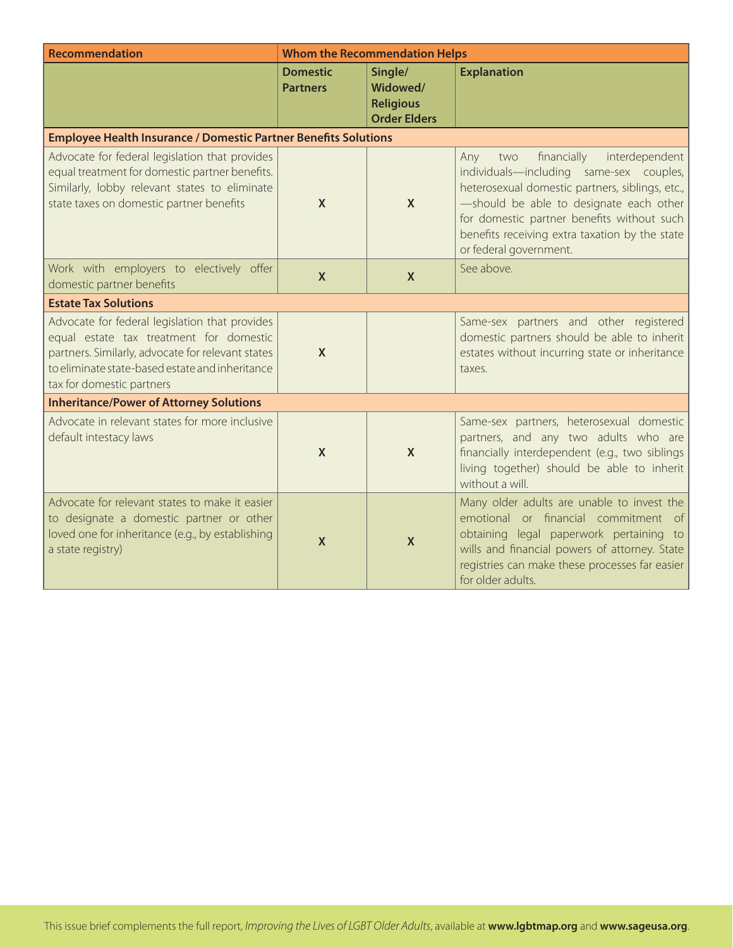| Recommendation                                                                                                                                                                                                                 | <b>Whom the Recommendation Helps</b> |                                                                |                                                                                                                                                                                                                                                                                                                |  |
|--------------------------------------------------------------------------------------------------------------------------------------------------------------------------------------------------------------------------------|--------------------------------------|----------------------------------------------------------------|----------------------------------------------------------------------------------------------------------------------------------------------------------------------------------------------------------------------------------------------------------------------------------------------------------------|--|
|                                                                                                                                                                                                                                | <b>Domestic</b><br><b>Partners</b>   | Single/<br>Widowed/<br><b>Religious</b><br><b>Order Elders</b> | <b>Explanation</b>                                                                                                                                                                                                                                                                                             |  |
| <b>Employee Health Insurance / Domestic Partner Benefits Solutions</b>                                                                                                                                                         |                                      |                                                                |                                                                                                                                                                                                                                                                                                                |  |
| Advocate for federal legislation that provides<br>equal treatment for domestic partner benefits.<br>Similarly, lobby relevant states to eliminate<br>state taxes on domestic partner benefits                                  | $\mathsf{X}$                         | $\boldsymbol{X}$                                               | financially<br>interdependent<br>Any<br>two<br>individuals-including same-sex couples,<br>heterosexual domestic partners, siblings, etc.,<br>-should be able to designate each other<br>for domestic partner benefits without such<br>benefits receiving extra taxation by the state<br>or federal government. |  |
| Work with employers to electively offer<br>domestic partner benefits                                                                                                                                                           | $\mathsf{X}$                         | $\boldsymbol{X}$                                               | See above.                                                                                                                                                                                                                                                                                                     |  |
| <b>Estate Tax Solutions</b>                                                                                                                                                                                                    |                                      |                                                                |                                                                                                                                                                                                                                                                                                                |  |
| Advocate for federal legislation that provides<br>equal estate tax treatment for domestic<br>partners. Similarly, advocate for relevant states<br>to eliminate state-based estate and inheritance<br>tax for domestic partners | X                                    |                                                                | Same-sex partners and other registered<br>domestic partners should be able to inherit<br>estates without incurring state or inheritance<br>taxes.                                                                                                                                                              |  |
| <b>Inheritance/Power of Attorney Solutions</b>                                                                                                                                                                                 |                                      |                                                                |                                                                                                                                                                                                                                                                                                                |  |
| Advocate in relevant states for more inclusive<br>default intestacy laws                                                                                                                                                       | $\mathsf{x}$                         | $\mathsf{X}$                                                   | Same-sex partners, heterosexual domestic<br>partners, and any two adults who are<br>financially interdependent (e.g., two siblings<br>living together) should be able to inherit<br>without a will.                                                                                                            |  |
| Advocate for relevant states to make it easier<br>to designate a domestic partner or other<br>loved one for inheritance (e.g., by establishing<br>a state registry)                                                            | $\mathsf{X}$                         | $\boldsymbol{X}$                                               | Many older adults are unable to invest the<br>emotional or financial commitment of<br>obtaining legal paperwork pertaining to<br>wills and financial powers of attorney. State<br>registries can make these processes far easier<br>for older adults.                                                          |  |